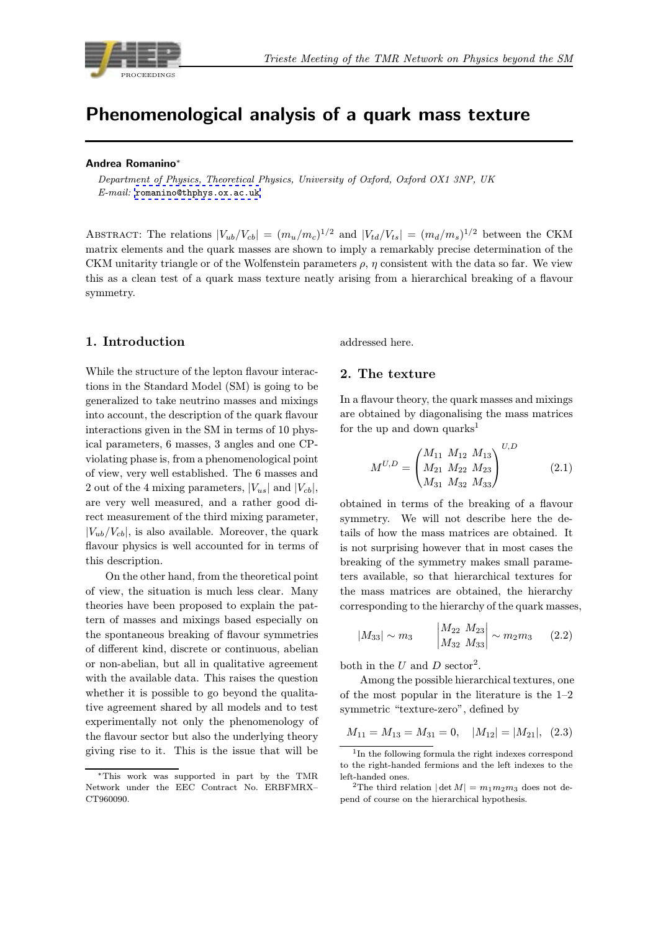<span id="page-0-0"></span>

# Phenomenological analysis of a quark mass texture

#### Andrea Romanino<sup>∗</sup>

Department of Physics, Theoretical Physics, University of Oxford, Oxford OX1 3NP, UK E-mail: romanino@thphys.ox.ac.uk

ABSTRACT: The relations  $|V_{ub}/V_{cb}| = (m_u/m_c)^{1/2}$  and  $|V_{td}/V_{ts}| = (m_d/m_s)^{1/2}$  between the CKM matrix ele[ments and the quark mass](mailto:romanino@thphys.ox.ac.uk)es are shown to imply a remarkably precise determination of the CKM unitarity triangle or of the Wolfenstein parameters  $\rho$ ,  $\eta$  consistent with the data so far. We view this as a clean test of a quark mass texture neatly arising from a hierarchical breaking of a flavour symmetry.

## 1. Introduction

While the structure of the lepton flavour interactions in the Standard Model (SM) is going to be generalized to take neutrino masses and mixings into account, the description of the quark flavour interactions given in the SM in terms of 10 physical parameters, 6 masses, 3 angles and one CPviolating phase is, from a phenomenological point of view, very well established. The 6 masses and 2 out of the 4 mixing parameters,  $|V_{us}|$  and  $|V_{cb}|$ , are very well measured, and a rather good direct measurement of the third mixing parameter,  $|V_{ub}/V_{cb}|$ , is also available. Moreover, the quark flavour physics is well accounted for in terms of this description.

On the other hand, from the theoretical point of view, the situation is much less clear. Many theories have been proposed to explain the pattern of masses and mixings based especially on the spontaneous breaking of flavour symmetries of different kind, discrete or continuous, abelian or non-abelian, but all in qualitative agreement with the available data. This raises the question whether it is possible to go beyond the qualitative agreement shared by all models and to test experimentally not only the phenomenology of the flavour sector but also the underlying theory giving rise to it. This is the issue that will be

addressed here.

#### 2. The texture

In a flavour theory, the quark masses and mixings are obtained by diagonalising the mass matrices for the up and down quarks<sup>1</sup>

$$
M^{U,D} = \begin{pmatrix} M_{11} & M_{12} & M_{13} \\ M_{21} & M_{22} & M_{23} \\ M_{31} & M_{32} & M_{33} \end{pmatrix}^{U,D}
$$
 (2.1)

obtained in terms of the breaking of a flavour symmetry. We will not describe here the details of how the mass matrices are obtained. It is not surprising however that in most cases the breaking of the symmetry makes small parameters available, so that hierarchical textures for the mass matrices are obtained, the hierarchy corresponding to the hierarchy of the quark masses,

$$
|M_{33}| \sim m_3 \qquad \begin{vmatrix} M_{22} & M_{23} \\ M_{32} & M_{33} \end{vmatrix} \sim m_2 m_3 \qquad (2.2)
$$

both in the U and D sector<sup>2</sup>.

Among the possible hierarchical textures, one of the most popular in the literature is the 1–2 symmetric "texture-zero", defined by

$$
M_{11} = M_{13} = M_{31} = 0
$$
,  $|M_{12}| = |M_{21}|$ , (2.3)

<sup>∗</sup>This work was supported in part by the TMR Network under the EEC Contract No. ERBFMRX– CT960090.

 $^1 {\rm In}$  the following formula the right indexes correspond to the right-handed fermions and the left indexes to the left-handed ones.

<sup>&</sup>lt;sup>2</sup>The third relation  $|\det M| = m_1 m_2 m_3$  does not depend of course on the hierarchical hypothesis.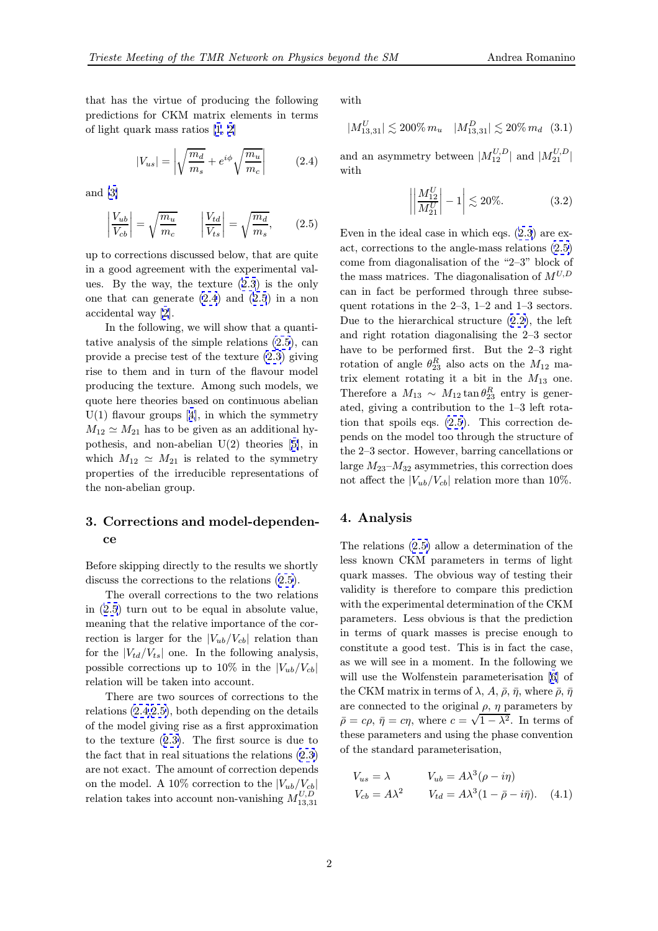<span id="page-1-0"></span>that has the virtue of producing the following predictions for CKM matrix elements in terms of light quark mass ratios [1, 2]

$$
|V_{us}| = \left| \sqrt{\frac{m_d}{m_s}} + e^{i\phi} \sqrt{\frac{m_u}{m_c}} \right| \tag{2.4}
$$

and [3]

$$
\left|\frac{V_{ub}}{V_{cb}}\right| = \sqrt{\frac{m_u}{m_c}} \qquad \left|\frac{V_{td}}{V_{ts}}\right| = \sqrt{\frac{m_d}{m_s}},\qquad(2.5)
$$

up t[o](#page-4-0) [c](#page-4-0)orrections discussed below, that are quite in a good agreement with the experimental values. By the way, the texture (2.3) is the only one that can generate (2.4) and (2.5) in a non accidental way [2].

In the following, we will show that a quantitative analysis of the simple rel[atio](#page-0-0)ns (2.5), can provide a precise test of the texture (2.3) giving rise to them a[nd](#page-4-0) in turn of the flavour model producing the texture. Among such models, we quote here theories based on continuous abelian  $U(1)$  flavour groups [4], in which the [sym](#page-0-0)metry  $M_{12} \simeq M_{21}$  has to be given as an additional hypothesis, and non-abelian U(2) theories [5], in which  $M_{12} \simeq M_{21}$  is related to the symmetry properties of the irr[ed](#page-4-0)ucible representations of the non-abelian group.

# 3. Corrections and model-dependence

Before skipping directly to the results we shortly discuss the corrections to the relations (2.5).

The overall corrections to the two relations in (2.5) turn out to be equal in absolute value, meaning that the relative importance of the correction is larger for the  $|V_{ub}/V_{cb}|$  relation than for the  $|V_{td}/V_{ts}|$  one. In the following analysis, possible corrections up to 10% in the  $|V_{ub}/V_{cb}|$ relation will be taken into account.

There are two sources of corrections to the relations (2.4,2.5), both depending on the details of the model giving rise as a first approximation to the texture (2.3). The first source is due to the fact that in real situations the relations (2.3) are not exact. The amount of correction depends on the model. A 10% correction to the  $|V_{ub}/V_{cb}|$ relation takes in[to a](#page-0-0)ccount non-vanishing  $M_{13,31}^{U,D}$  $M_{13,31}^{U,D}$  $M_{13,31}^{U,D}$ 

with

$$
|M_{13,31}^U| \lesssim 200\% \, m_u \quad |M_{13,31}^D| \lesssim 20\% \, m_d \quad (3.1)
$$

and an asymmetry between  $|M^{U,D}_{12}|$  and  $|M^{U,D}_{21}|$ with

$$
\left| \left| \frac{M_{12}^U}{M_{21}^U} \right| - 1 \right| \lesssim 20\%.
$$
 (3.2)

Even in the ideal case in which eqs. (2.3) are exact, corrections to the angle-mass relations (2.5) come from diagonalisation of the "2–3" block of the mass matrices. The diagonalisation of  $M^{U,D}$ can in fact be performed through t[hre](#page-0-0)e subsequent rotations in the 2–3, 1–2 and 1–3 sectors. Due to the hierarchical structure (2.2), the left and right rotation diagonalising the 2–3 sector have to be performed first. But the 2–3 right rotation of angle  $\theta_{23}^R$  also acts on the  $M_{12}$  matrix element rotating it a bit in [the](#page-0-0)  $M_{13}$  one. Therefore a  $M_{13} \sim M_{12} \tan \theta_{23}^R$  entry is generated, giving a contribution to the 1–3 left rotation that spoils eqs. (2.5). This correction depends on the model too through the structure of the 2–3 sector. However, barring cancellations or large  $M_{23}-M_{32}$  asymmetries, this correction does not affect the  $|V_{ub}/V_{cb}|$  relation more than 10%.

## 4. Analysis

The relations (2.5) allow a determination of the less known CKM parameters in terms of light quark masses. The obvious way of testing their validity is therefore to compare this prediction with the experimental determination of the CKM parameters. Less obvious is that the prediction in terms of quark masses is precise enough to constitute a good test. This is in fact the case, as we will see in a moment. In the following we will use the Wolfenstein parameterisation [6] of the CKM matrix in terms of  $\lambda$ ,  $A$ ,  $\bar{\rho}$ ,  $\bar{\eta}$ , where  $\bar{\rho}$ ,  $\bar{\eta}$ are connected to the original  $\rho$ ,  $\eta$  parameters by  $\bar{\rho} = c\rho, \bar{\eta} = c\eta$ , where  $c = \sqrt{1 - \lambda^2}$ . In terms of these parameters and using the phase conve[nt](#page-4-0)ion of the standard parameterisation,

$$
V_{us} = \lambda \qquad V_{ub} = A\lambda^3(\rho - i\eta)
$$
  
\n
$$
V_{cb} = A\lambda^2 \qquad V_{td} = A\lambda^3(1 - \bar{\rho} - i\bar{\eta}). \quad (4.1)
$$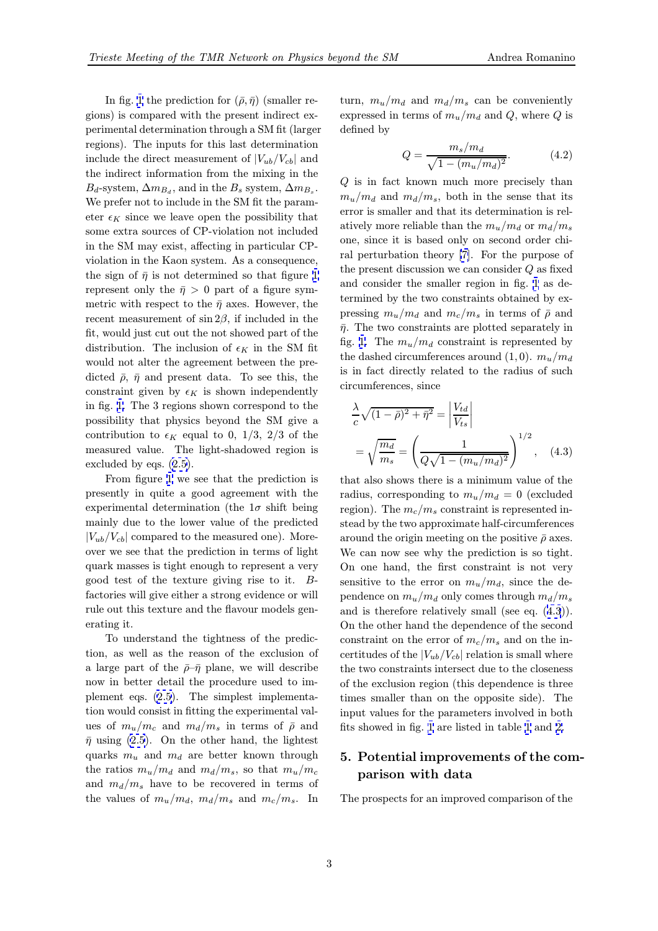In fig. 1 the prediction for  $(\bar{\rho}, \bar{\eta})$  (smaller regions) is compared with the present indirect experimental determination through a SM fit (larger regions). The inputs for this last determination includ[e](#page-3-0) the direct measurement of  $|V_{ub}/V_{cb}|$  and the indirect information from the mixing in the  $B_d$ -system,  $\Delta m_{B_d}$ , and in the  $B_s$  system,  $\Delta m_{B_s}$ . We prefer not to include in the SM fit the parameter  $\epsilon_K$  since we leave open the possibility that some extra sources of CP-violation not included in the SM may exist, affecting in particular CPviolation in the Kaon system. As a consequence, the sign of  $\bar{\eta}$  is not determined so that figure 1 represent only the  $\bar{\eta} > 0$  part of a figure symmetric with respect to the  $\bar{\eta}$  axes. However, the recent measurement of  $\sin 2\beta$ , if included in the fit, would just cut out the not showed part of t[he](#page-3-0) distribution. The inclusion of  $\epsilon_K$  in the SM fit would not alter the agreement between the predicted  $\bar{\rho}$ ,  $\bar{\eta}$  and present data. To see this, the constraint given by  $\epsilon_K$  is shown independently in fig. 1. The 3 regions shown correspond to the possibility that physics beyond the SM give a contribution to  $\epsilon_K$  equal to 0, 1/3, 2/3 of the measured value. The light-shadowed region is exclud[ed](#page-3-0) by eqs. (2.5).

From figure 1 we see that the prediction is presently in quite a good agreement with the experimental determination (the  $1\sigma$  shift being mainly due to th[e lo](#page-1-0)wer value of the predicted  $|V_{ub}/V_{cb}|$  compar[ed](#page-3-0) to the measured one). Moreover we see that the prediction in terms of light quark masses is tight enough to represent a very good test of the texture giving rise to it. Bfactories will give either a strong evidence or will rule out this texture and the flavour models generating it.

To understand the tightness of the prediction, as well as the reason of the exclusion of a large part of the  $\bar{\rho}$ – $\bar{\eta}$  plane, we will describe now in better detail the procedure used to implement eqs. (2.5). The simplest implementation would consist in fitting the experimental values of  $m_u/m_c$  and  $m_d/m_s$  in terms of  $\bar{\rho}$  and  $\bar{\eta}$  using (2.5). On the other hand, the lightest quarks  $m_u$  an[d](#page-1-0)  $m_d$  are better known through the ratios  $m_u/m_d$  and  $m_d/m_s$ , so that  $m_u/m_c$ and  $m_d/m_s$  have to be recovered in terms of the valu[es o](#page-1-0)f  $m_u/m_d$ ,  $m_d/m_s$  and  $m_c/m_s$ . In

turn,  $m_u/m_d$  and  $m_d/m_s$  can be conveniently expressed in terms of  $m_u/m_d$  and Q, where Q is defined by

$$
Q = \frac{m_s/m_d}{\sqrt{1 - (m_u/m_d)^2}}.\tag{4.2}
$$

Q is in fact known much more precisely than  $m_u/m_d$  and  $m_d/m_s$ , both in the sense that its error is smaller and that its determination is relatively more reliable than the  $m_u/m_d$  or  $m_d/m_s$ one, since it is based only on second order chiral perturbation theory [7]. For the purpose of the present discussion we can consider Q as fixed and consider the smaller region in fig. 1 as determined by the two constraints obtained by expressing  $m_u/m_d$  $m_u/m_d$  $m_u/m_d$  and  $m_c/m_s$  in terms of  $\bar{\rho}$  and  $\bar{\eta}$ . The two constraints are plotted separately in fig. 1. The  $m_u/m_d$  constraint is repres[en](#page-3-0)ted by the dashed circumferences around  $(1, 0)$ .  $m_u/m_d$ is in fact directly related to the radius of such circ[um](#page-3-0)ferences, since

$$
\frac{\lambda}{c}\sqrt{(1-\bar{\rho})^2+\bar{\eta}^2} = \left|\frac{V_{td}}{V_{ts}}\right|
$$
\n
$$
= \sqrt{\frac{m_d}{m_s}} = \left(\frac{1}{Q\sqrt{1-(m_u/m_d)^2}}\right)^{1/2}, \quad (4.3)
$$

that also shows there is a minimum value of the radius, corresponding to  $m_u/m_d = 0$  (excluded region). The  $m_c/m_s$  constraint is represented instead by the two approximate half-circumferences around the origin meeting on the positive  $\bar{\rho}$  axes. We can now see why the prediction is so tight. On one hand, the first constraint is not very sensitive to the error on  $m_u/m_d$ , since the dependence on  $m_u/m_d$  only comes through  $m_d/m_s$ and is therefore relatively small (see eq. (4.3)). On the other hand the dependence of the second constraint on the error of  $m_c/m_s$  and on the incertitudes of the  $|V_{ub}/V_{cb}|$  relation is small where the two constraints intersect due to the closeness of the exclusion region (this dependence is three times smaller than on the opposite side). The input values for the parameters involved in both fits showed in fig. 1 are listed in table 1 and 2.

# 5. Potential improvements of the comparison wi[th](#page-3-0) data

The prospects for an improved comparison of the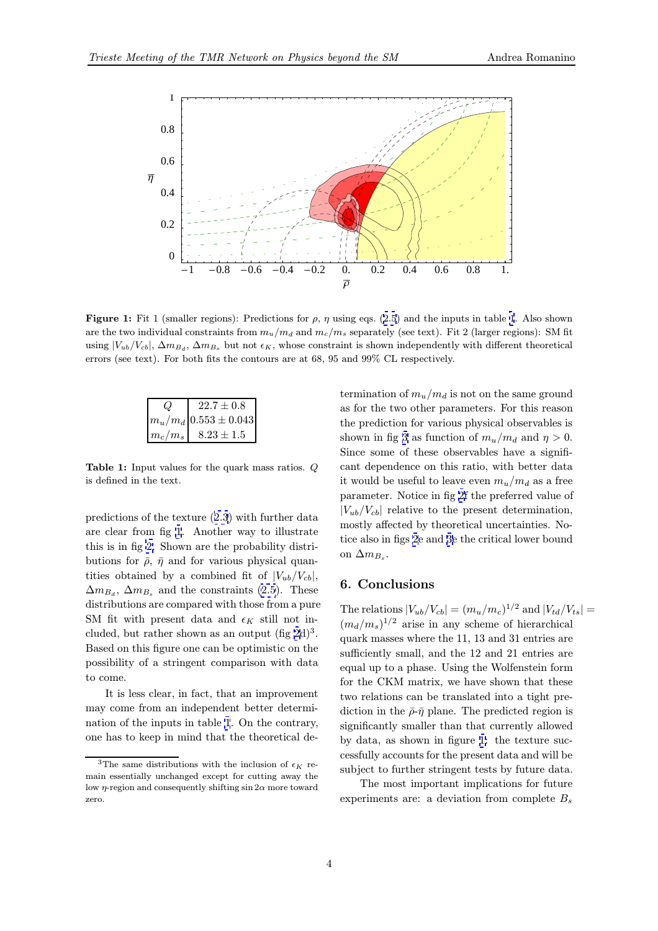<span id="page-3-0"></span>

Figure 1: Fit 1 (smaller regions): Predictions for  $\rho$ ,  $\eta$  using eqs. (2.5) and the inputs in table 1. Also shown are the two individual constraints from  $m_u/m_d$  and  $m_c/m_s$  separately (see text). Fit 2 (larger regions): SM fit using  $|V_{ub}/V_{cb}|$ ,  $\Delta m_{B_d}$ ,  $\Delta m_{B_s}$  but not  $\epsilon_K$ , whose constraint is shown independently with different theoretical errors (see text). For both fits the contours are at 68, 95 and 99% CL respectively.

| $22.7 \pm 0.8$           |
|--------------------------|
| $ m_u/m_d 0.553\pm0.043$ |
| $ m_c/m_s $ 8.23 ± 1.5   |

Table 1: Input values for the quark mass ratios. Q is defined in the text.

predictions of the texture (2.3) with further data are clear from fig 1. Another way to illustrate this is in fig 2. Shown are the probability distributions for  $\bar{\rho}$ ,  $\bar{\eta}$  and for various physical quantities obtained by a com[bine](#page-0-0)d fit of  $|V_{ub}/V_{cb}|$ ,  $\Delta m_{B_d}$ ,  $\Delta m_{B_s}$  and the constraints (2.5). These distribution[s a](#page-5-0)re compared with those from a pure SM fit with present data and  $\epsilon_K$  still not included, but rather shown as an output  $(f \nvert g 2d)^3$ . Based on this figure one can be opti[mist](#page-1-0)ic on the possibility of a stringent comparison with data to come.

It is less clear, in fact, that an improve[m](#page-5-0)ent may come from an independent better determination of the inputs in table 1. On the contrary, one has to keep in mind that the theoretical determination of  $m_u/m_d$  is not on the same ground as for the two other parameters. For this reason the prediction for various physical observables is shown in fig 3 as function of  $m_u/m_d$  and  $\eta > 0$ . Since some of these observables have a significant dependence on this ratio, with better data it would be useful to leave even  $m_u/m_d$  as a free parameter. [No](#page-6-0)tice in fig 2f the preferred value of  $|V_{ub}/V_{cb}|$  relative to the present determination, mostly affected by theoretical uncertainties. Notice also in figs 2e and 3e [th](#page-5-0)e critical lower bound on  $\Delta m_{B_s}$ .

### 6. Conclus[io](#page-5-0)ns

The relations  $|V_{ub}/V_{cb}| = (m_u/m_c)^{1/2}$  and  $|V_{td}/V_{ts}| =$  $(m_d/m_s)^{1/2}$  arise in any scheme of hierarchical quark masses where the 11, 13 and 31 entries are sufficiently small, and the 12 and 21 entries are equal up to a phase. Using the Wolfenstein form for the CKM matrix, we have shown that these two relations can be translated into a tight prediction in the  $\bar{\rho}$ - $\bar{\eta}$  plane. The predicted region is significantly smaller than that currently allowed by data, as shown in figure 1: the texture successfully accounts for the present data and will be subject to further stringent tests by future data.

The most important implications for future experiments are: a deviation from complete  $B_s$ 

<sup>&</sup>lt;sup>3</sup>The same distributions with the inclusion of  $\epsilon_K$  remain essentially unchanged except for cutting away the low  $\eta$ -region and consequently shifting sin  $2\alpha$  more toward zero.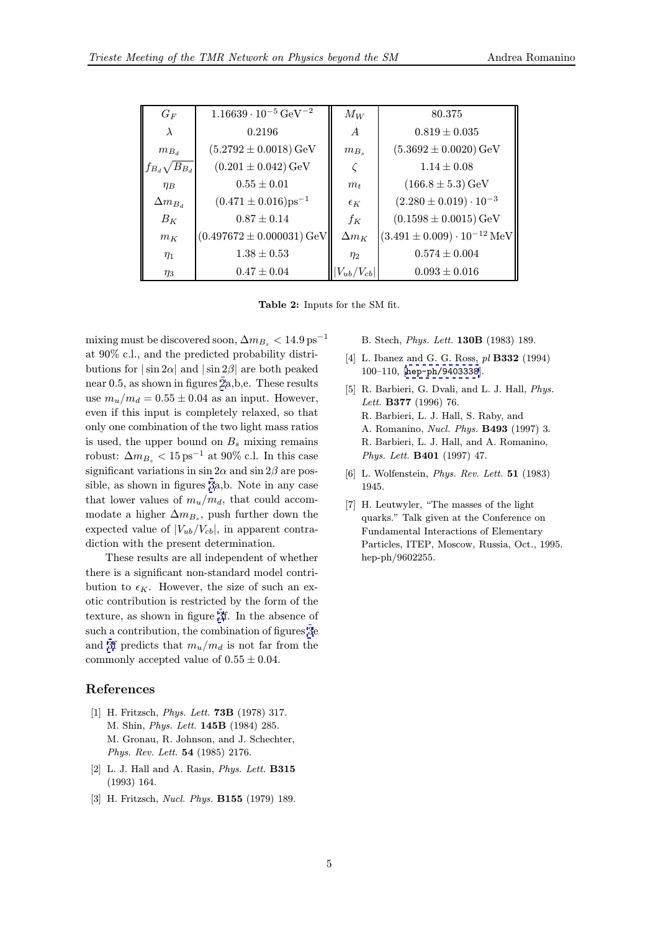<span id="page-4-0"></span>

| $G_F$                    | $1.16639 \cdot 10^{-5}$ GeV <sup>-2</sup> | $M_W$           | 80.375                                 |
|--------------------------|-------------------------------------------|-----------------|----------------------------------------|
| $\lambda$                | 0.2196                                    | $\overline{A}$  | $0.819 \pm 0.035$                      |
| $m_{B_d}$                | $(5.2792 \pm 0.0018) \,\mathrm{GeV}$      | $m_{B_s}$       | $(5.3692 \pm 0.0020)$ GeV              |
| $f_{B_d} \sqrt{B_{B_d}}$ | $(0.201 \pm 0.042)$ GeV                   |                 | $1.14 \pm 0.08$                        |
| $\eta_B$                 | $0.55 \pm 0.01$                           | m <sub>t</sub>  | $(166.8 \pm 5.3)$ GeV                  |
| $\Delta m_{B_d}$         | $(0.471 \pm 0.016) \text{ps}^{-1}$        | $\epsilon_K$    | $(2.280 \pm 0.019) \cdot 10^{-3}$      |
| $B_K$                    | $0.87 \pm 0.14$                           | $f_K$           | $(0.1598 \pm 0.0015)$ GeV              |
| $m_K$                    | $(0.497672 \pm 0.000031)$ GeV             | $\Delta m_K$    | $(3.491 \pm 0.009) \cdot 10^{-12}$ MeV |
| $\eta_1$                 | $1.38 \pm 0.53$                           | $\eta_2$        | $0.574 \pm 0.004$                      |
| $\eta_3$                 | $0.47 \pm 0.04$                           | $V_{ub}/V_{cb}$ | $0.093 \pm 0.016$                      |

Table 2: Inputs for the SM fit.

mixing must be discovered soon,  $\Delta m_{B_s} < 14.9 \,\mathrm{ps}^{-1}$ at 90% c.l., and the predicted probability distributions for  $|\sin 2\alpha|$  and  $|\sin 2\beta|$  are both peaked near 0.5, as shown in figures 2a,b,e. These results use  $m_u/m_d = 0.55 \pm 0.04$  as an input. However, even if this input is completely relaxed, so that only one combination of the two light mass ratios is used, the upper bou[n](#page-5-0)d on  $B_s$  mixing remains robust:  $\Delta m_{B_s} < 15 \,\text{ps}^{-1}$  at 90% c.l. In this case significant variations in sin  $2\alpha$  and sin  $2\beta$  are possible, as shown in figures 3a,b. Note in any case that lower values of  $m_u/m_d$ , that could accommodate a higher  $\Delta m_{B_s}$ , push further down the expected value of  $|V_{ub}/V_{cb}|$ , in apparent contradiction with the present [de](#page-6-0)termination.

These results are all independent of whether there is a significant non-standard model contribution to  $\epsilon_K$ . However, the size of such an exotic contribution is restricted by the form of the texture, as shown in figure 3f. In the absence of such a contribution, the combination of figures 3e and 3f predicts that  $m_u/m_d$  is not far from the commonly accepted value o[f](#page-6-0)  $0.55 \pm 0.04$ .

### References

- [1] H. Fritzsch, *Phys. Lett.* **73B** (1978) 317. M. Shin, Phys. Lett. 145B (1984) 285. M. Gronau, R. Johnson, and J. Schechter, Phys. Rev. Lett. 54 (1985) 2176.
- [2] L. J. Hall and A. Rasin,  $Phys. Lett. B315$ (1993) 164.
- [3] H. Fritzsch, Nucl. Phys. B155 (1979) 189.

B. Stech, Phys. Lett. 130B (1983) 189.

- [4] L. Ibanez and G. G. Ross, pl **B332** (1994) 100–110, [hep-ph/9403338].
- [5] R. Barbieri, G. Dvali, and L. J. Hall, *Phys.* Lett. B377 (1996) 76. R. Barbieri, L. J. Hall, S. Raby, and A. Romanino, [Nucl. Phys.](http://xxx.lanl.gov/abs/hep-ph/9403338) B493 (1997) 3. R. Barbieri, L. J. Hall, and A. Romanino, Phys. Lett. B401 (1997) 47.
- [6] L. Wolfenstein, Phys. Rev. Lett. 51 (1983) 1945.
- [7] H. Leutwyler, "The masses of the light quarks." Talk given at the Conference on Fundamental Interactions of Elementary Particles, ITEP, Moscow, Russia, Oct., 1995. hep-ph/9602255.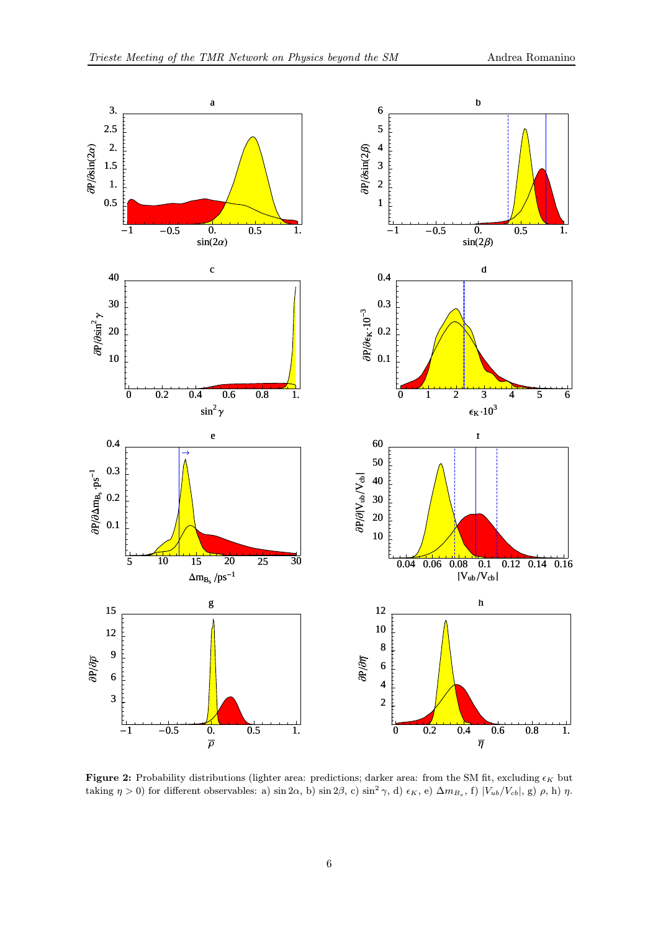<span id="page-5-0"></span>

Figure 2: Probability distributions (lighter area: predictions; darker area: from the SM fit, excluding  $\epsilon_K$  but taking  $\eta > 0$ ) for different observables: a) sin 2 $\alpha$ , b) sin 2 $\beta$ , c) sin<sup>2</sup>  $\gamma$ , d)  $\epsilon_K$ , e)  $\Delta m_{B_s}$ , f)  $|V_{ub}/V_{cb}|$ , g)  $\rho$ , h)  $\eta$ .